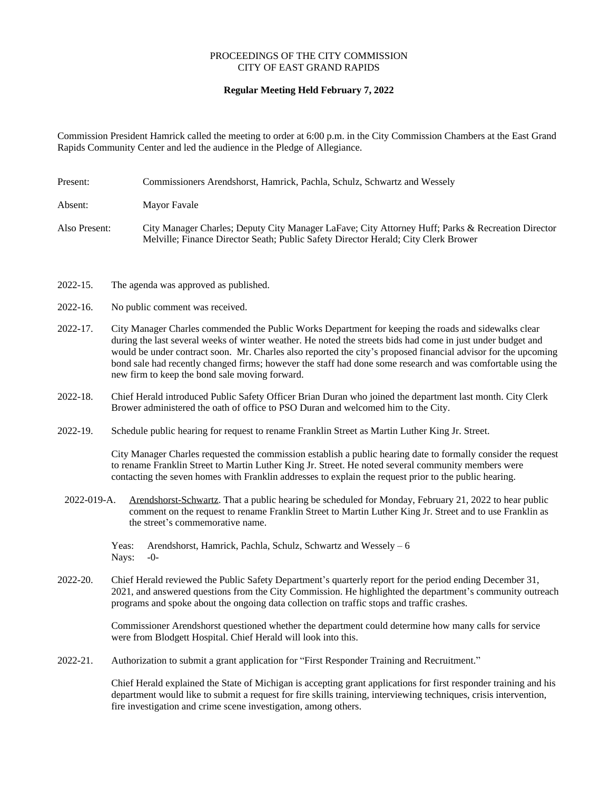## PROCEEDINGS OF THE CITY COMMISSION CITY OF EAST GRAND RAPIDS

## **Regular Meeting Held February 7, 2022**

Commission President Hamrick called the meeting to order at 6:00 p.m. in the City Commission Chambers at the East Grand Rapids Community Center and led the audience in the Pledge of Allegiance.

- Present: Commissioners Arendshorst, Hamrick, Pachla, Schulz, Schwartz and Wessely Absent: Mayor Favale Also Present: City Manager Charles; Deputy City Manager LaFave; City Attorney Huff; Parks & Recreation Director Melville; Finance Director Seath; Public Safety Director Herald; City Clerk Brower
- 2022-15. The agenda was approved as published.
- 2022-16. No public comment was received.
- 2022-17. City Manager Charles commended the Public Works Department for keeping the roads and sidewalks clear during the last several weeks of winter weather. He noted the streets bids had come in just under budget and would be under contract soon. Mr. Charles also reported the city's proposed financial advisor for the upcoming bond sale had recently changed firms; however the staff had done some research and was comfortable using the new firm to keep the bond sale moving forward.
- 2022-18. Chief Herald introduced Public Safety Officer Brian Duran who joined the department last month. City Clerk Brower administered the oath of office to PSO Duran and welcomed him to the City.
- 2022-19. Schedule public hearing for request to rename Franklin Street as Martin Luther King Jr. Street.

City Manager Charles requested the commission establish a public hearing date to formally consider the request to rename Franklin Street to Martin Luther King Jr. Street. He noted several community members were contacting the seven homes with Franklin addresses to explain the request prior to the public hearing.

2022-019-A. Arendshorst-Schwartz. That a public hearing be scheduled for Monday, February 21, 2022 to hear public comment on the request to rename Franklin Street to Martin Luther King Jr. Street and to use Franklin as the street's commemorative name.

Yeas: Arendshorst, Hamrick, Pachla, Schulz, Schwartz and Wessely – 6 Nays: -0-

2022-20. Chief Herald reviewed the Public Safety Department's quarterly report for the period ending December 31, 2021, and answered questions from the City Commission. He highlighted the department's community outreach programs and spoke about the ongoing data collection on traffic stops and traffic crashes.

> Commissioner Arendshorst questioned whether the department could determine how many calls for service were from Blodgett Hospital. Chief Herald will look into this.

2022-21. Authorization to submit a grant application for "First Responder Training and Recruitment."

Chief Herald explained the State of Michigan is accepting grant applications for first responder training and his department would like to submit a request for fire skills training, interviewing techniques, crisis intervention, fire investigation and crime scene investigation, among others.